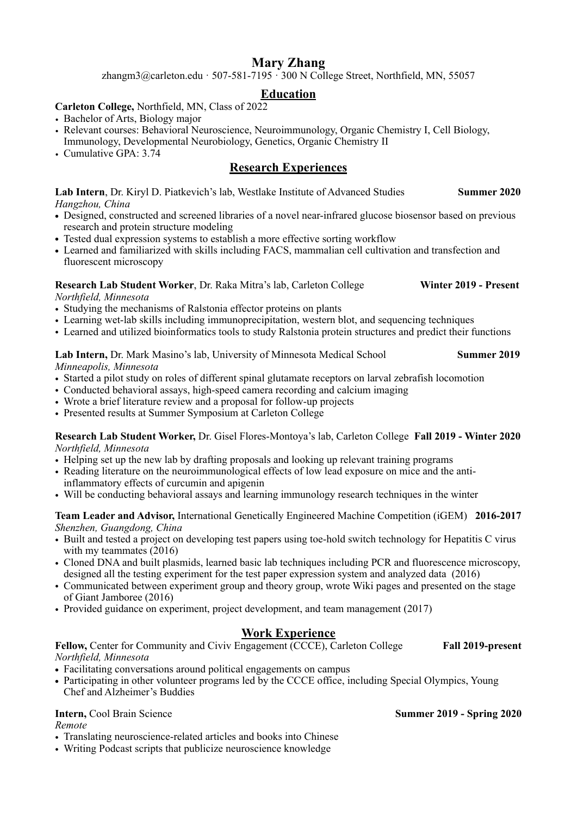# **Mary Zhang**

zhangm $3$ @carleton.edu · 507-581-7195 · 300 N College Street, Northfield, MN, 55057

# **Education**

# **Carleton College,** Northfield, MN, Class of 2022

- Bachelor of Arts, Biology major
- Relevant courses: Behavioral Neuroscience, Neuroimmunology, Organic Chemistry I, Cell Biology, Immunology, Developmental Neurobiology, Genetics, Organic Chemistry II
- Cumulative GPA: 3.74

# **Research Experiences**

Lab Intern, Dr. Kiryl D. Piatkevich's lab, Westlake Institute of Advanced Studies **Summer 2020** *Hangzhou, China* 

- Designed, constructed and screened libraries of a novel near-infrared glucose biosensor based on previous research and protein structure modeling
- Tested dual expression systems to establish a more effective sorting workflow
- **•** Learned and familiarized with skills including FACS, mammalian cell cultivation and transfection and fluorescent microscopy

#### **Research Lab Student Worker**, Dr. Raka Mitra's lab, Carleton College **Winter 2019 - Present** *Northfield, Minnesota*

- Studying the mechanisms of Ralstonia effector proteins on plants
- Learning wet-lab skills including immunoprecipitation, western blot, and sequencing techniques
- Learned and utilized bioinformatics tools to study Ralstonia protein structures and predict their functions

**Lab Intern,** Dr. Mark Masino's lab, University of Minnesota Medical School **Summer 2019**  *Minneapolis, Minnesota* 

- Started a pilot study on roles of different spinal glutamate receptors on larval zebrafish locomotion
- Conducted behavioral assays, high-speed camera recording and calcium imaging
- Wrote a brief literature review and a proposal for follow-up projects
- Presented results at Summer Symposium at Carleton College

#### **Research Lab Student Worker,** Dr. Gisel Flores-Montoya's lab, Carleton College **Fall 2019 - Winter 2020**  *Northfield, Minnesota*

- Helping set up the new lab by drafting proposals and looking up relevant training programs
- Reading literature on the neuroimmunological effects of low lead exposure on mice and the antiinflammatory effects of curcumin and apigenin
- Will be conducting behavioral assays and learning immunology research techniques in the winter

### **Team Leader and Advisor,** International Genetically Engineered Machine Competition (iGEM) **2016-2017** *Shenzhen, Guangdong, China*

- Built and tested a project on developing test papers using toe-hold switch technology for Hepatitis C virus with my teammates (2016)
- Cloned DNA and built plasmids, learned basic lab techniques including PCR and fluorescence microscopy, designed all the testing experiment for the test paper expression system and analyzed data (2016)
- Communicated between experiment group and theory group, wrote Wiki pages and presented on the stage of Giant Jamboree (2016)
- Provided guidance on experiment, project development, and team management (2017)

# **Work Experience**

**Fellow,** Center for Community and Civiv Engagement (CCCE), Carleton College **Fall 2019-present**  *Northfield, Minnesota* 

- Facilitating conversations around political engagements on campus
- Participating in other volunteer programs led by the CCCE office, including Special Olympics, Young Chef and Alzheimer's Buddies

*Remote* 

- Translating neuroscience-related articles and books into Chinese
- Writing Podcast scripts that publicize neuroscience knowledge

### **Intern,** Cool Brain Science **Summer 2019 - Spring 2020**